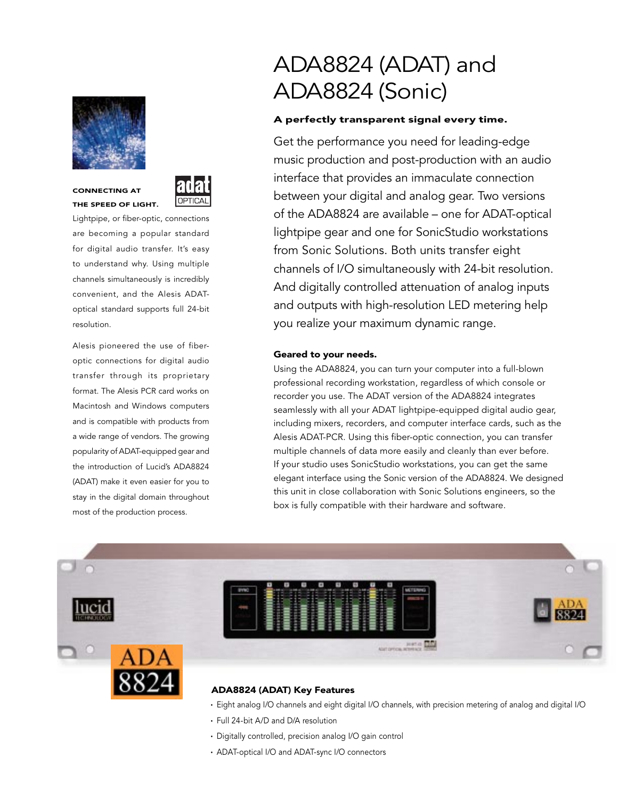

**CONNECTING AT**



**THE SPEED OF LIGHT.** Lightpipe, or fiber-optic, connections

are becoming a popular standard for digital audio transfer. It's easy to understand why. Using multiple channels simultaneously is incredibly convenient, and the Alesis ADAToptical standard supports full 24-bit resolution.

Alesis pioneered the use of fiberoptic connections for digital audio transfer through its proprietary format. The Alesis PCR card works on Macintosh and Windows computers and is compatible with products from a wide range of vendors. The growing popularity of ADAT-equipped gear and the introduction of Lucid's ADA8824 (ADAT) make it even easier for you to stay in the digital domain throughout most of the production process.

# ADA8824 (ADAT) and ADA8824 (Sonic)

## **A perfectly transparent signal every time.**

Get the performance you need for leading-edge music production and post-production with an audio interface that provides an immaculate connection between your digital and analog gear. Two versions of the ADA8824 are available – one for ADAT-optical lightpipe gear and one for SonicStudio workstations from Sonic Solutions. Both units transfer eight channels of I/O simultaneously with 24-bit resolution. And digitally controlled attenuation of analog inputs and outputs with high-resolution LED metering help you realize your maximum dynamic range.

## **Geared to your needs.**

Using the ADA8824, you can turn your computer into a full-blown professional recording workstation, regardless of which console or recorder you use. The ADAT version of the ADA8824 integrates seamlessly with all your ADAT lightpipe-equipped digital audio gear, including mixers, recorders, and computer interface cards, such as the Alesis ADAT-PCR. Using this fiber-optic connection, you can transfer multiple channels of data more easily and cleanly than ever before. If your studio uses SonicStudio workstations, you can get the same elegant interface using the Sonic version of the ADA8824. We designed this unit in close collaboration with Sonic Solutions engineers, so the box is fully compatible with their hardware and software.



## **ADA8824 (ADAT) Key Features**

- **·** Eight analog I/O channels and eight digital I/O channels, with precision metering of analog and digital I/O
- **·** Full 24-bit A/D and D/A resolution
- **·** Digitally controlled, precision analog I/O gain control
- **·** ADAT-optical I/O and ADAT-sync I/O connectors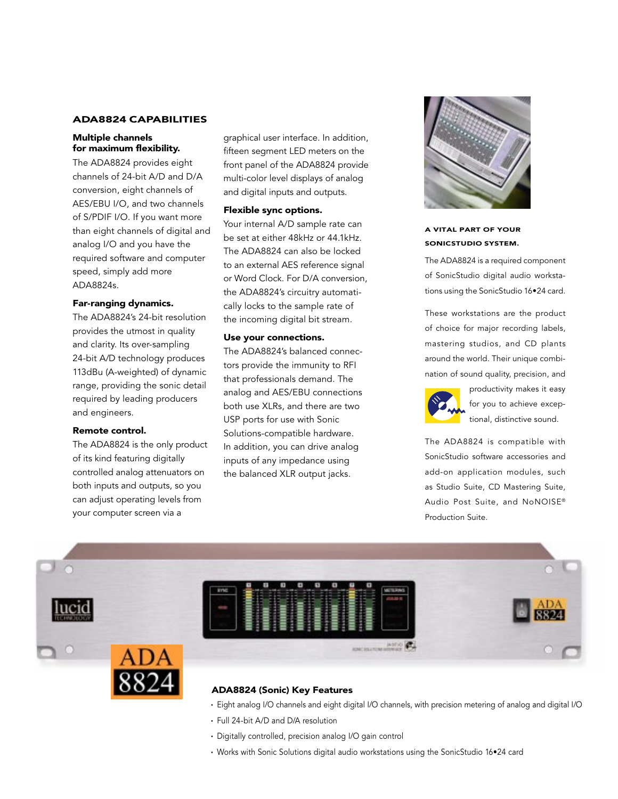## **ADA8824 CAPABILITIES**

## **Multiple channels for maximum flexibility.**

The ADA8824 provides eight channels of 24-bit A/D and D/A conversion, eight channels of AES/EBU I/O, and two channels of S/PDIF I/O. If you want more than eight channels of digital and analog I/O and you have the required software and computer speed, simply add more ADA8824s.

## **Far-ranging dynamics.**

The ADA8824's 24-bit resolution provides the utmost in quality and clarity. Its over-sampling 24-bit A/D technology produces 113dBu (A-weighted) of dynamic range, providing the sonic detail required by leading producers and engineers.

#### **Remote control.**

The ADA8824 is the only product of its kind featuring digitally controlled analog attenuators on both inputs and outputs, so you can adjust operating levels from your computer screen via a

graphical user interface. In addition, fifteen segment LED meters on the front panel of the ADA8824 provide multi-color level displays of analog and digital inputs and outputs.

## **Flexible sync options.**

Your internal A/D sample rate can be set at either 48kHz or 44.1kHz. The ADA8824 can also be locked to an external AES reference signal or Word Clock. For D/A conversion, the ADA8824's circuitry automatically locks to the sample rate of the incoming digital bit stream.

## **Use your connections.**

The ADA8824's balanced connectors provide the immunity to RFI that professionals demand. The analog and AES/EBU connections both use XLRs, and there are two USP ports for use with Sonic Solutions-compatible hardware. In addition, you can drive analog inputs of any impedance using the balanced XLR output jacks.



## **A VITAL PART OF YOUR SONICSTUDIO SYSTEM.**

The ADA8824 is a required component of SonicStudio digital audio workstations using the SonicStudio 16•24 card.

These workstations are the product of choice for major recording labels, mastering studios, and CD plants around the world. Their unique combination of sound quality, precision, and



productivity makes it easy for you to achieve exceptional, distinctive sound.

The ADA8824 is compatible with SonicStudio software accessories and add-on application modules, such as Studio Suite, CD Mastering Suite, Audio Post Suite, and NoNOISE® Production Suite.





- **·** Eight analog I/O channels and eight digital I/O channels, with precision metering of analog and digital I/O
- **·** Full 24-bit A/D and D/A resolution
- **·** Digitally controlled, precision analog I/O gain control
- **·** Works with Sonic Solutions digital audio workstations using the SonicStudio 16•24 card